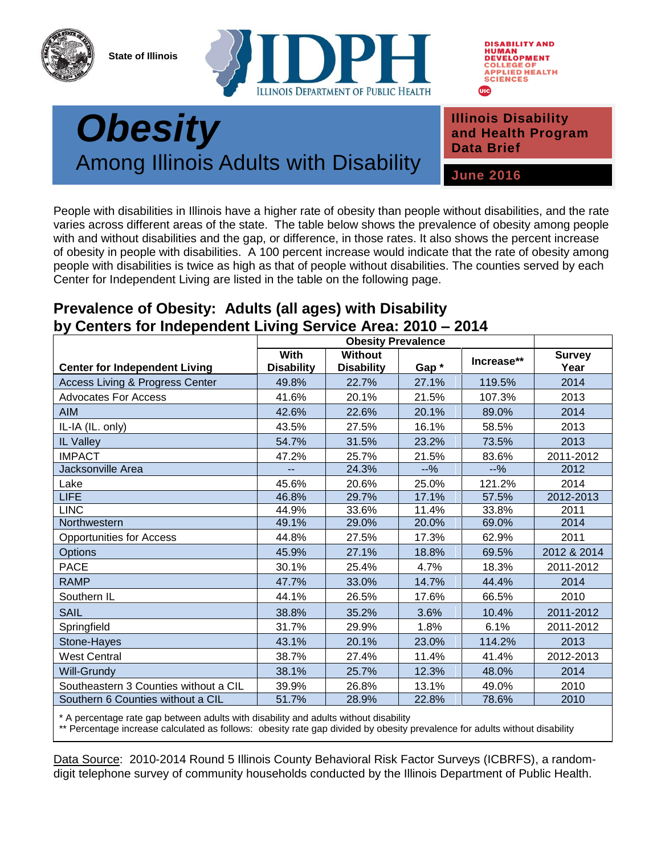**State of Illinois**





## **Public Health** *Obesity* Among Illinois Adults with Disability

**Illinois Disability and Health Program Data Brief**

**June 2016**

People with disabilities in Illinois have a higher rate of obesity than people without disabilities, and the rate varies across different areas of the state. The table below shows the prevalence of obesity among people with and without disabilities and the gap, or difference, in those rates. It also shows the percent increase of obesity in people with disabilities. A 100 percent increase would indicate that the rate of obesity among people with disabilities is twice as high as that of people without disabilities. The counties served by each Center for Independent Living are listed in the table on the following page.

## **Prevalence of Obesity: Adults (all ages) with Disability by Centers for Independent Living Service Area: 2010 – 2014**

|                                            | <b>Obesity Prevalence</b> |                                     |        |            |                       |
|--------------------------------------------|---------------------------|-------------------------------------|--------|------------|-----------------------|
| <b>Center for Independent Living</b>       | With<br><b>Disability</b> | <b>Without</b><br><b>Disability</b> | Gap*   | Increase** | <b>Survey</b><br>Year |
| <b>Access Living &amp; Progress Center</b> | 49.8%                     | 22.7%                               | 27.1%  | 119.5%     | 2014                  |
| <b>Advocates For Access</b>                | 41.6%                     | 20.1%                               | 21.5%  | 107.3%     | 2013                  |
| <b>AIM</b>                                 | 42.6%                     | 22.6%                               | 20.1%  | 89.0%      | 2014                  |
| IL-IA (IL. only)                           | 43.5%                     | 27.5%                               | 16.1%  | 58.5%      | 2013                  |
| IL Valley                                  | 54.7%                     | 31.5%                               | 23.2%  | 73.5%      | 2013                  |
| <b>IMPACT</b>                              | 47.2%                     | 25.7%                               | 21.5%  | 83.6%      | 2011-2012             |
| Jacksonville Area                          | --                        | 24.3%                               | $-9/6$ | $-9/6$     | 2012                  |
| Lake                                       | 45.6%                     | 20.6%                               | 25.0%  | 121.2%     | 2014                  |
| <b>LIFE</b>                                | 46.8%                     | 29.7%                               | 17.1%  | 57.5%      | 2012-2013             |
| <b>LINC</b>                                | 44.9%                     | 33.6%                               | 11.4%  | 33.8%      | 2011                  |
| Northwestern                               | 49.1%                     | 29.0%                               | 20.0%  | 69.0%      | 2014                  |
| <b>Opportunities for Access</b>            | 44.8%                     | 27.5%                               | 17.3%  | 62.9%      | 2011                  |
| Options                                    | 45.9%                     | 27.1%                               | 18.8%  | 69.5%      | 2012 & 2014           |
| <b>PACE</b>                                | 30.1%                     | 25.4%                               | 4.7%   | 18.3%      | 2011-2012             |
| <b>RAMP</b>                                | 47.7%                     | 33.0%                               | 14.7%  | 44.4%      | 2014                  |
| Southern IL                                | 44.1%                     | 26.5%                               | 17.6%  | 66.5%      | 2010                  |
| <b>SAIL</b>                                | 38.8%                     | 35.2%                               | 3.6%   | 10.4%      | 2011-2012             |
| Springfield                                | 31.7%                     | 29.9%                               | 1.8%   | 6.1%       | 2011-2012             |
| Stone-Hayes                                | 43.1%                     | 20.1%                               | 23.0%  | 114.2%     | 2013                  |
| West Central                               | 38.7%                     | 27.4%                               | 11.4%  | 41.4%      | 2012-2013             |
| Will-Grundy                                | 38.1%                     | 25.7%                               | 12.3%  | 48.0%      | 2014                  |
| Southeastern 3 Counties without a CIL      | 39.9%                     | 26.8%                               | 13.1%  | 49.0%      | 2010                  |
| Southern 6 Counties without a CIL          | 51.7%                     | 28.9%                               | 22.8%  | 78.6%      | 2010                  |

\* A percentage rate gap between adults with disability and adults without disability

\*\* Percentage increase calculated as follows: obesity rate gap divided by obesity prevalence for adults without disability

Data Source: 2010-2014 Round 5 Illinois County Behavioral Risk Factor Surveys (ICBRFS), a randomdigit telephone survey of community households conducted by the Illinois Department of Public Health.